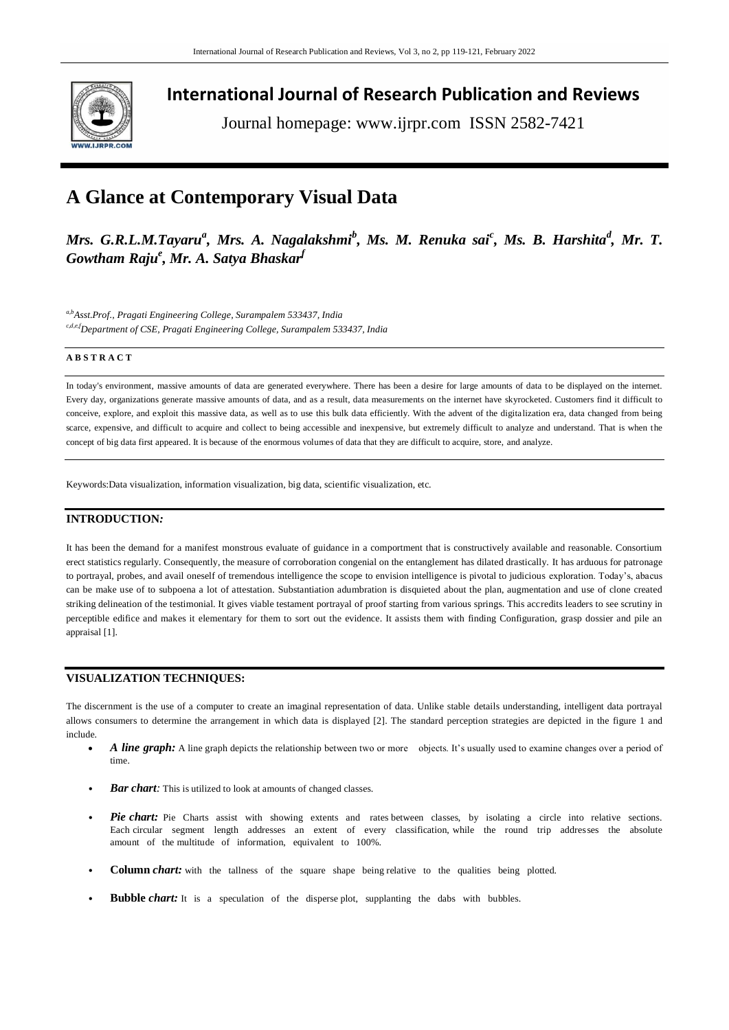

**International Journal of Research Publication and Reviews**

Journal homepage: www.ijrpr.com ISSN 2582-7421

# **A Glance at Contemporary Visual Data**

 $M$ rs. G.R.L.M.Tayaru<sup>a</sup>, Mrs. A. Nagalakshmi<sup>b</sup>, Ms. M. Renuka sai<sup>c</sup>, Ms. B. Harshita<sup>d</sup>, Mr. T. *Gowtham Raju<sup>e</sup> , Mr. A. Satya Bhaskar<sup>f</sup>*

*a,bAsst.Prof., Pragati Engineering College, Surampalem 533437, India c,d,e,fDepartment of CSE, Pragati Engineering College, Surampalem 533437, India*

# **A B S T R A C T**

In today's environment, massive amounts of data are generated everywhere. There has been a desire for large amounts of data to be displayed on the internet. Every day, organizations generate massive amounts of data, and as a result, data measurements on the internet have skyrocketed. Customers find it difficult to conceive, explore, and exploit this massive data, as well as to use this bulk data efficiently. With the advent of the digitalization era, data changed from being scarce, expensive, and difficult to acquire and collect to being accessible and inexpensive, but extremely difficult to analyze and understand. That is when the concept of big data first appeared. It is because of the enormous volumes of data that they are difficult to acquire, store, and analyze.

Keywords:Data visualization, information visualization, big data, scientific visualization, etc.

# **INTRODUCTION***:*

It has been the demand for a manifest monstrous evaluate of guidance in a comportment that is constructively available and reasonable. Consortium erect statistics regularly. Consequently, the measure of corroboration congenial on the entanglement has dilated drastically. It has arduous for patronage to portrayal, probes, and avail oneself of tremendous intelligence the scope to envision intelligence is pivotal to judicious exploration. Today's, abacus can be make use of to subpoena a lot of attestation. Substantiation adumbration is disquieted about the plan, augmentation and use of clone created striking delineation of the testimonial. It gives viable testament portrayal of proof starting from various springs. This accredits leaders to see scrutiny in perceptible edifice and makes it elementary for them to sort out the evidence. It assists them with finding Configuration, grasp dossier and pile an appraisal [1].

# **VISUALIZATION TECHNIQUES:**

The discernment is the use of a computer to create an imaginal representation of data. Unlike stable details understanding, intelligent data portrayal allows consumers to determine the arrangement in which data is displayed [2]. The standard perception strategies are depicted in the figure 1 and include.

- *A line graph:* A line graph depicts the relationship between two or more objects. It's usually used to examine changes over a period of time.
- *Bar chart:* This is utilized to look at amounts of changed classes.
- Pie chart: Pie Charts assist with showing extents and rates between classes, by isolating a circle into relative sections. Each circular segment length addresses an extent of every classification, while the round trip addresses the absolute amount of the multitude of information, equivalent to 100%.
- **Column** *chart:* with the tallness of the square shape being relative to the qualities being plotted.
- **Bubble** *chart*: It is a speculation of the disperse plot, supplanting the dabs with bubbles.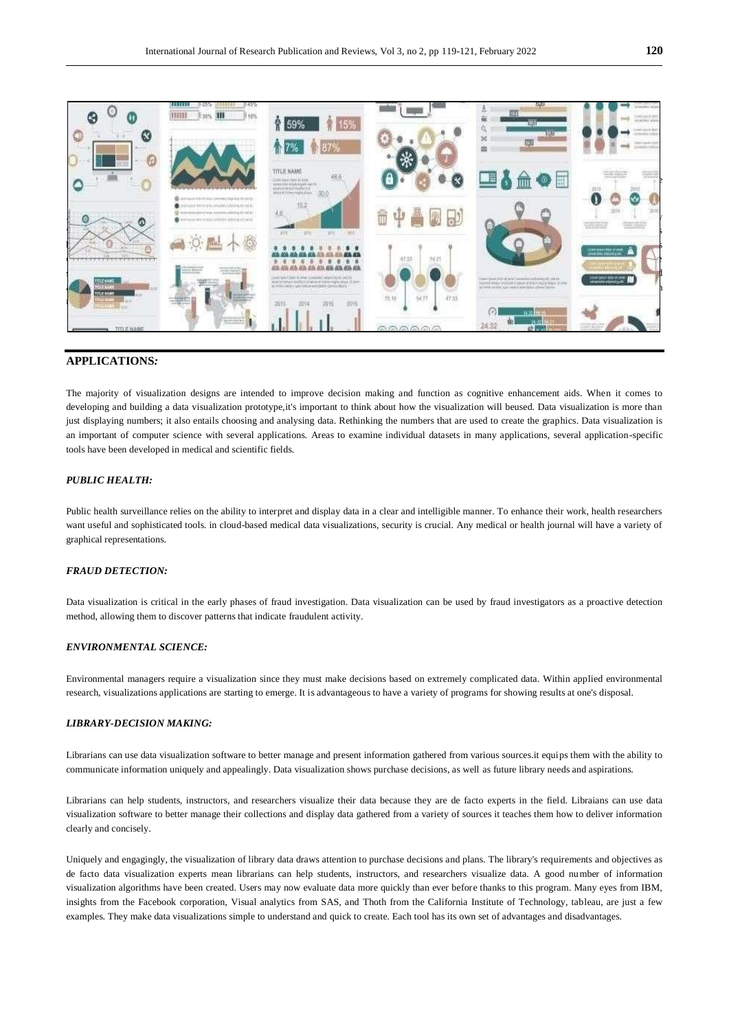

## **APPLICATIONS***:*

The majority of visualization designs are intended to improve decision making and function as cognitive enhancement aids. When it comes to developing and building a data visualization prototype,it's important to think about how the visualization will beused. Data visualization is more than just displaying numbers; it also entails choosing and analysing data. Rethinking the numbers that are used to create the graphics. Data visualization is an important of computer science with several applications. Areas to examine individual datasets in many applications, several application-specific tools have been developed in medical and scientific fields.

## *PUBLIC HEALTH:*

Public health surveillance relies on the ability to interpret and display data in a clear and intelligible manner. To enhance their work, health researchers want useful and sophisticated tools. in cloud-based medical data visualizations, security is crucial. Any medical or health journal will have a variety of graphical representations.

#### *FRAUD DETECTION:*

Data visualization is critical in the early phases of fraud investigation. Data visualization can be used by fraud investigators as a proactive detection method, allowing them to discover patterns that indicate fraudulent activity.

## *ENVIRONMENTAL SCIENCE:*

Environmental managers require a visualization since they must make decisions based on extremely complicated data. Within applied environmental research, visualizations applications are starting to emerge. It is advantageous to have a variety of programs for showing results at one's disposal.

#### *LIBRARY-DECISION MAKING:*

Librarians can use data visualization software to better manage and present information gathered from various sources.it equips them with the ability to communicate information uniquely and appealingly. Data visualization shows purchase decisions, as well as future library needs and aspirations.

Librarians can help students, instructors, and researchers visualize their data because they are de facto experts in the field. Libraians can use data visualization software to better manage their collections and display data gathered from a variety of sources it teaches them how to deliver information clearly and concisely.

Uniquely and engagingly, the visualization of library data draws attention to purchase decisions and plans. The library's requirements and objectives as de facto data visualization experts mean librarians can help students, instructors, and researchers visualize data. A good number of information visualization algorithms have been created. Users may now evaluate data more quickly than ever before thanks to this program. Many eyes from IBM, insights from the Facebook corporation, Visual analytics from SAS, and Thoth from the California Institute of Technology, tableau, are just a few examples. They make data visualizations simple to understand and quick to create. Each tool has its own set of advantages and disadvantages.